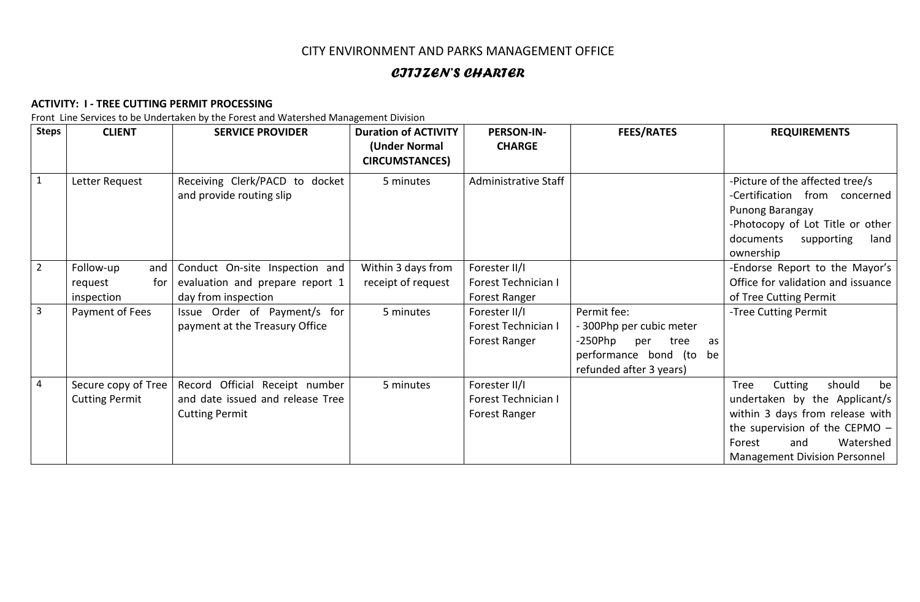# CITY ENVIRONMENT AND PARKS MANAGEMENT OFFICE

# *CITIZEN'S CHARTER*

#### **ACTIVITY: I - TREE CUTTING PERMIT PROCESSING**

Front Line Services to be Undertaken by the Forest and Watershed Management Division

| <b>Steps</b> | <b>CLIENT</b>                                | <b>SERVICE PROVIDER</b>                                                                     | <b>Duration of ACTIVITY</b><br>(Under Normal<br><b>CIRCUMSTANCES)</b> | <b>PERSON-IN-</b><br><b>CHARGE</b>                    | <b>FEES/RATES</b>                                                                                                                | <b>REQUIREMENTS</b>                                                                                                                                                                                           |
|--------------|----------------------------------------------|---------------------------------------------------------------------------------------------|-----------------------------------------------------------------------|-------------------------------------------------------|----------------------------------------------------------------------------------------------------------------------------------|---------------------------------------------------------------------------------------------------------------------------------------------------------------------------------------------------------------|
|              | Letter Request                               | Receiving Clerk/PACD to docket<br>and provide routing slip                                  | 5 minutes                                                             | Administrative Staff                                  |                                                                                                                                  | -Picture of the affected tree/s<br>-Certification from concerned<br>Punong Barangay<br>-Photocopy of Lot Title or other<br>documents<br>supporting<br>land<br>ownership                                       |
| $2^{\circ}$  | Follow-up<br>and $ $                         | Conduct On-site Inspection and                                                              | Within 3 days from                                                    | Forester II/I                                         |                                                                                                                                  | -Endorse Report to the Mayor's                                                                                                                                                                                |
|              | request<br>for                               | evaluation and prepare report 1                                                             | receipt of request                                                    | Forest Technician I                                   |                                                                                                                                  | Office for validation and issuance                                                                                                                                                                            |
|              | inspection                                   | day from inspection                                                                         |                                                                       | Forest Ranger                                         |                                                                                                                                  | of Tree Cutting Permit                                                                                                                                                                                        |
| 3            | Payment of Fees                              | Issue Order of Payment/s for<br>payment at the Treasury Office                              | 5 minutes                                                             | Forester II/I<br>Forest Technician I<br>Forest Ranger | Permit fee:<br>- 300Php per cubic meter<br>-250Php<br>per<br>tree<br>as<br>performance bond (to<br>be<br>refunded after 3 years) | -Tree Cutting Permit                                                                                                                                                                                          |
| 4            | Secure copy of Tree<br><b>Cutting Permit</b> | Record Official Receipt number<br>and date issued and release Tree<br><b>Cutting Permit</b> | 5 minutes                                                             | Forester II/I<br>Forest Technician I<br>Forest Ranger |                                                                                                                                  | should<br>Cutting<br>be<br>Tree<br>undertaken by the Applicant/s<br>within 3 days from release with<br>the supervision of the CEPMO $-$<br>Watershed<br>and<br>Forest<br><b>Management Division Personnel</b> |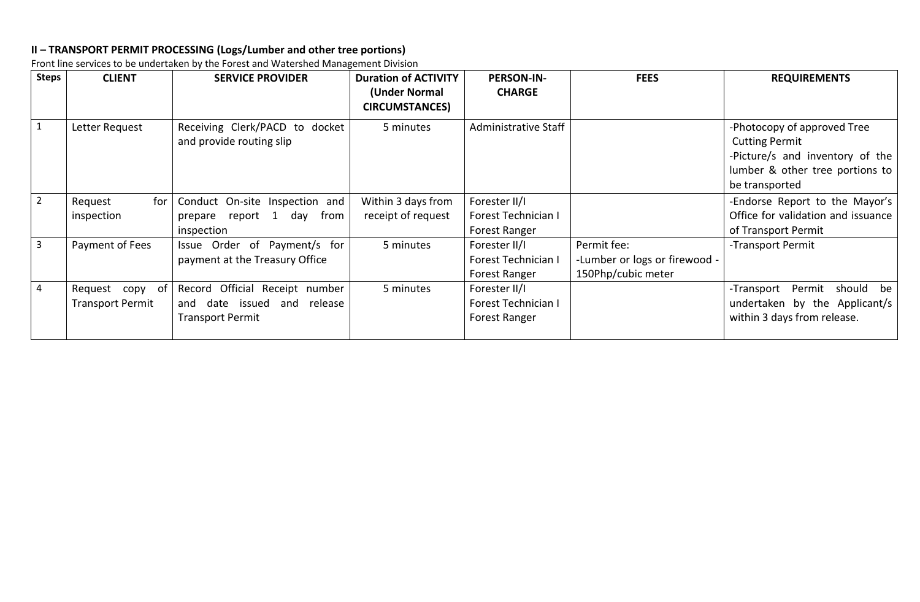# **II – TRANSPORT PERMIT PROCESSING (Logs/Lumber and other tree portions)**

Front line services to be undertaken by the Forest and Watershed Management Division

| <b>Steps</b>   | <b>CLIENT</b>                              | <b>SERVICE PROVIDER</b>                                                                     | <b>Duration of ACTIVITY</b><br>(Under Normal<br><b>CIRCUMSTANCES)</b> | <b>PERSON-IN-</b><br><b>CHARGE</b>                    | <b>FEES</b>                                                        | <b>REQUIREMENTS</b>                                                                                                                          |
|----------------|--------------------------------------------|---------------------------------------------------------------------------------------------|-----------------------------------------------------------------------|-------------------------------------------------------|--------------------------------------------------------------------|----------------------------------------------------------------------------------------------------------------------------------------------|
| $\mathbf 1$    | Letter Request                             | Receiving Clerk/PACD to docket<br>and provide routing slip                                  | 5 minutes                                                             | Administrative Staff                                  |                                                                    | -Photocopy of approved Tree<br><b>Cutting Permit</b><br>-Picture/s and inventory of the<br>lumber & other tree portions to<br>be transported |
| $2^{\circ}$    | for<br>Request<br>inspection               | Conduct On-site Inspection and<br>report 1<br>from<br>day<br>prepare<br>inspection          | Within 3 days from<br>receipt of request                              | Forester II/I<br>Forest Technician I<br>Forest Ranger |                                                                    | -Endorse Report to the Mayor's<br>Office for validation and issuance<br>of Transport Permit                                                  |
| $\overline{3}$ | Payment of Fees                            | Issue Order of Payment/s for<br>payment at the Treasury Office                              | 5 minutes                                                             | Forester II/I<br>Forest Technician I<br>Forest Ranger | Permit fee:<br>-Lumber or logs or firewood -<br>150Php/cubic meter | -Transport Permit                                                                                                                            |
| 4              | Request copy of<br><b>Transport Permit</b> | Record Official Receipt number<br>date issued and release<br>and<br><b>Transport Permit</b> | 5 minutes                                                             | Forester II/I<br>Forest Technician I<br>Forest Ranger |                                                                    | -Transport Permit should be<br>undertaken by the Applicant/s<br>within 3 days from release.                                                  |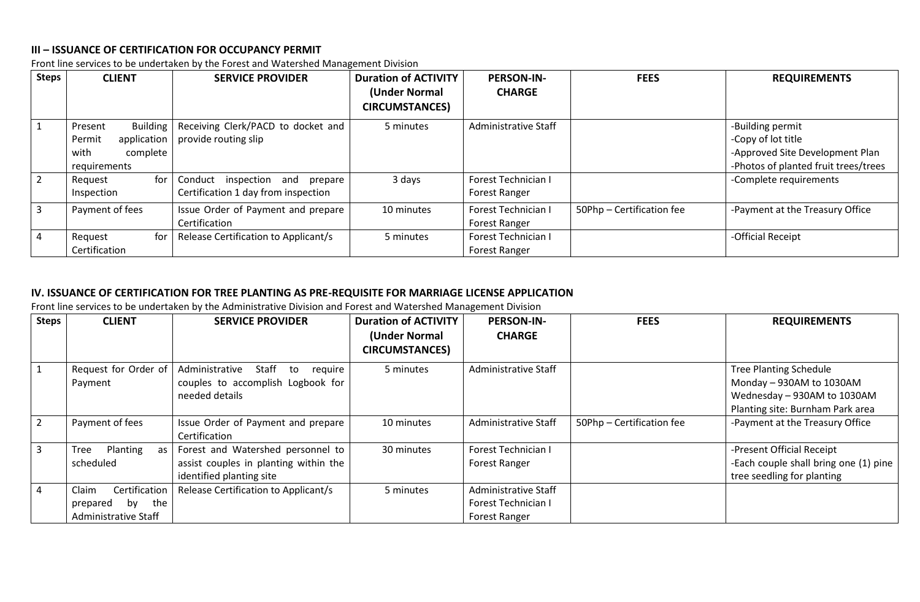## **III – ISSUANCE OF CERTIFICATION FOR OCCUPANCY PERMIT**

Front line services to be undertaken by the Forest and Watershed Management Division

| <b>Steps</b> | <b>CLIENT</b>                                                                           | <b>SERVICE PROVIDER</b>                                                     | <b>Duration of ACTIVITY</b><br>(Under Normal<br><b>CIRCUMSTANCES)</b> | <b>PERSON-IN-</b><br><b>CHARGE</b>          | <b>FEES</b>               | <b>REQUIREMENTS</b>                                                                                               |
|--------------|-----------------------------------------------------------------------------------------|-----------------------------------------------------------------------------|-----------------------------------------------------------------------|---------------------------------------------|---------------------------|-------------------------------------------------------------------------------------------------------------------|
|              | <b>Building</b><br>Present<br>application<br>Permit<br>with<br>complete<br>requirements | Receiving Clerk/PACD to docket and<br>provide routing slip                  | 5 minutes                                                             | Administrative Staff                        |                           | -Building permit<br>-Copy of lot title<br>-Approved Site Development Plan<br>-Photos of planted fruit trees/trees |
|              | for<br>Request<br>Inspection                                                            | inspection<br>Conduct<br>and prepare<br>Certification 1 day from inspection | 3 days                                                                | Forest Technician I<br><b>Forest Ranger</b> |                           | -Complete requirements                                                                                            |
|              | Payment of fees                                                                         | Issue Order of Payment and prepare<br>Certification                         | 10 minutes                                                            | Forest Technician I<br><b>Forest Ranger</b> | 50Php - Certification fee | -Payment at the Treasury Office                                                                                   |
|              | for<br>Request<br>Certification                                                         | Release Certification to Applicant/s                                        | 5 minutes                                                             | Forest Technician I<br><b>Forest Ranger</b> |                           | -Official Receipt                                                                                                 |

#### **IV. ISSUANCE OF CERTIFICATION FOR TREE PLANTING AS PRE-REQUISITE FOR MARRIAGE LICENSE APPLICATION**

Front line services to be undertaken by the Administrative Division and Forest and Watershed Management Division

| <b>Steps</b> | <b>CLIENT</b>          | <b>SERVICE PROVIDER</b>                  | <b>Duration of ACTIVITY</b><br>(Under Normal<br><b>CIRCUMSTANCES)</b> | <b>PERSON-IN-</b><br><b>CHARGE</b> | <b>FEES</b>               | <b>REQUIREMENTS</b>                   |
|--------------|------------------------|------------------------------------------|-----------------------------------------------------------------------|------------------------------------|---------------------------|---------------------------------------|
|              | Request for Order of   | Administrative<br>Staff<br>require<br>to | 5 minutes                                                             | Administrative Staff               |                           | <b>Tree Planting Schedule</b>         |
|              | Payment                | couples to accomplish Logbook for        |                                                                       |                                    |                           | Monday - 930AM to 1030AM              |
|              |                        | needed details                           |                                                                       |                                    |                           | Wednesday - 930AM to 1030AM           |
|              |                        |                                          |                                                                       |                                    |                           | Planting site: Burnham Park area      |
|              | Payment of fees        | Issue Order of Payment and prepare       | 10 minutes                                                            | Administrative Staff               | 50Php - Certification fee | -Payment at the Treasury Office       |
|              |                        | Certification                            |                                                                       |                                    |                           |                                       |
| 3            | Tree<br>Planting<br>as | Forest and Watershed personnel to        | 30 minutes                                                            | Forest Technician I                |                           | -Present Official Receipt             |
|              | scheduled              | assist couples in planting within the    |                                                                       | Forest Ranger                      |                           | -Each couple shall bring one (1) pine |
|              |                        | identified planting site                 |                                                                       |                                    |                           | tree seedling for planting            |
|              | Certification<br>Claim | Release Certification to Applicant/s     | 5 minutes                                                             | Administrative Staff               |                           |                                       |
|              | the<br>prepared<br>bv  |                                          |                                                                       | Forest Technician I                |                           |                                       |
|              | Administrative Staff   |                                          |                                                                       | Forest Ranger                      |                           |                                       |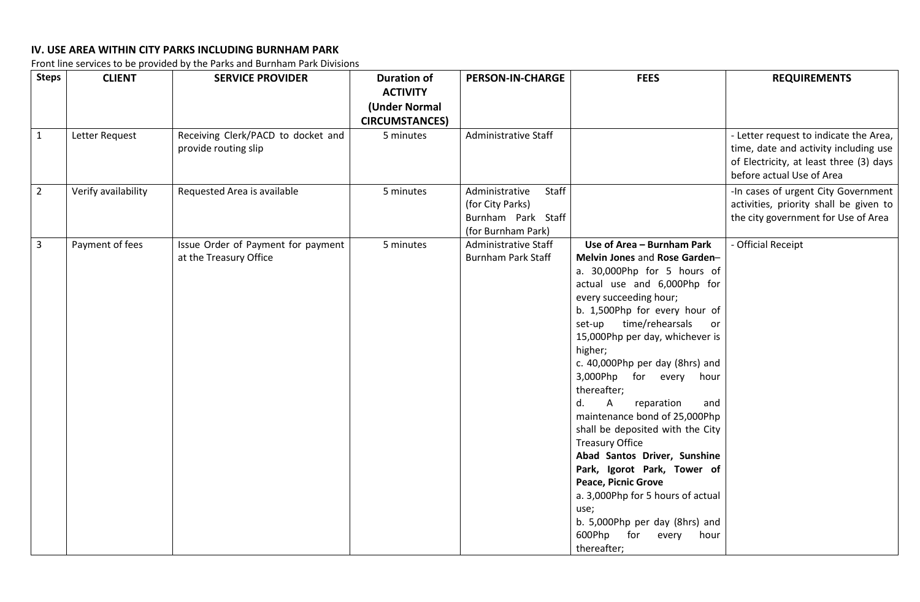# **IV. USE AREA WITHIN CITY PARKS INCLUDING BURNHAM PARK**

Front line services to be provided by the Parks and Burnham Park Divisions

| <b>Steps</b>   | <b>CLIENT</b>       | <b>SERVICE PROVIDER</b>                                      | <b>Duration of</b><br><b>ACTIVITY</b><br>(Under Normal | <b>PERSON-IN-CHARGE</b>                                                                 | <b>FEES</b>                                                                                                                                                                                                                                                                                                                                                                                                                                                                                                                                                                                                                                                                                              | <b>REQUIREMENTS</b>                                                                                                                                     |
|----------------|---------------------|--------------------------------------------------------------|--------------------------------------------------------|-----------------------------------------------------------------------------------------|----------------------------------------------------------------------------------------------------------------------------------------------------------------------------------------------------------------------------------------------------------------------------------------------------------------------------------------------------------------------------------------------------------------------------------------------------------------------------------------------------------------------------------------------------------------------------------------------------------------------------------------------------------------------------------------------------------|---------------------------------------------------------------------------------------------------------------------------------------------------------|
|                |                     |                                                              | <b>CIRCUMSTANCES)</b>                                  |                                                                                         |                                                                                                                                                                                                                                                                                                                                                                                                                                                                                                                                                                                                                                                                                                          |                                                                                                                                                         |
| $\mathbf{1}$   | Letter Request      | Receiving Clerk/PACD to docket and<br>provide routing slip   | 5 minutes                                              | Administrative Staff                                                                    |                                                                                                                                                                                                                                                                                                                                                                                                                                                                                                                                                                                                                                                                                                          | - Letter request to indicate the Area,<br>time, date and activity including use<br>of Electricity, at least three (3) days<br>before actual Use of Area |
| $\overline{2}$ | Verify availability | Requested Area is available                                  | 5 minutes                                              | Administrative<br>Staff<br>(for City Parks)<br>Burnham Park Staff<br>(for Burnham Park) |                                                                                                                                                                                                                                                                                                                                                                                                                                                                                                                                                                                                                                                                                                          | -In cases of urgent City Government<br>activities, priority shall be given to<br>the city government for Use of Area                                    |
| $\mathbf{3}$   | Payment of fees     | Issue Order of Payment for payment<br>at the Treasury Office | 5 minutes                                              | Administrative Staff<br><b>Burnham Park Staff</b>                                       | Use of Area - Burnham Park<br>Melvin Jones and Rose Garden-<br>a. 30,000Php for 5 hours of<br>actual use and 6,000Php for<br>every succeeding hour;<br>b. 1,500Php for every hour of<br>set-up time/rehearsals<br>or<br>15,000Php per day, whichever is<br>higher;<br>c. 40,000Php per day (8hrs) and<br>3,000Php for every hour<br>thereafter;<br>A<br>reparation<br>d.<br>and<br>maintenance bond of 25,000Php<br>shall be deposited with the City<br><b>Treasury Office</b><br>Abad Santos Driver, Sunshine<br>Park, Igorot Park, Tower of<br><b>Peace, Picnic Grove</b><br>a. 3,000Php for 5 hours of actual<br>use;<br>b. 5,000Php per day (8hrs) and<br>600Php for<br>every<br>hour<br>thereafter; | - Official Receipt                                                                                                                                      |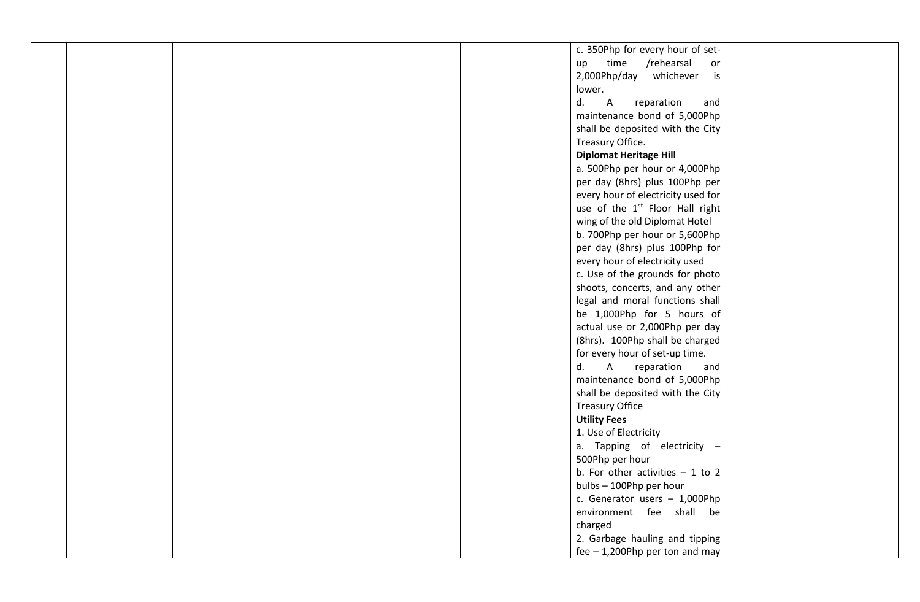|  | c. 350Php for every hour of set-            |
|--|---------------------------------------------|
|  |                                             |
|  | time<br>/rehearsal<br>up<br>or              |
|  | 2,000Php/day<br>whichever<br>is             |
|  | lower.                                      |
|  | d.<br>$\overline{A}$<br>reparation<br>and   |
|  | maintenance bond of 5,000Php                |
|  | shall be deposited with the City            |
|  | Treasury Office.                            |
|  | <b>Diplomat Heritage Hill</b>               |
|  | a. 500Php per hour or 4,000Php              |
|  | per day (8hrs) plus 100Php per              |
|  | every hour of electricity used for          |
|  | use of the 1 <sup>st</sup> Floor Hall right |
|  | wing of the old Diplomat Hotel              |
|  | b. 700Php per hour or 5,600Php              |
|  | per day (8hrs) plus 100Php for              |
|  | every hour of electricity used              |
|  | c. Use of the grounds for photo             |
|  | shoots, concerts, and any other             |
|  | legal and moral functions shall             |
|  | be 1,000Php for 5 hours of                  |
|  | actual use or 2,000Php per day              |
|  | (8hrs). 100Php shall be charged             |
|  | for every hour of set-up time.              |
|  | d. A<br>reparation<br>and                   |
|  | maintenance bond of 5,000Php                |
|  | shall be deposited with the City            |
|  | <b>Treasury Office</b>                      |
|  | <b>Utility Fees</b>                         |
|  | 1. Use of Electricity                       |
|  | a. Tapping of electricity -                 |
|  | 500Php per hour                             |
|  | b. For other activities $-1$ to 2           |
|  |                                             |
|  | bulbs - 100Php per hour                     |
|  | c. Generator users $-1,000P$ hp             |
|  | environment fee shall be                    |
|  | charged                                     |
|  | 2. Garbage hauling and tipping              |
|  | fee $-$ 1,200Php per ton and may            |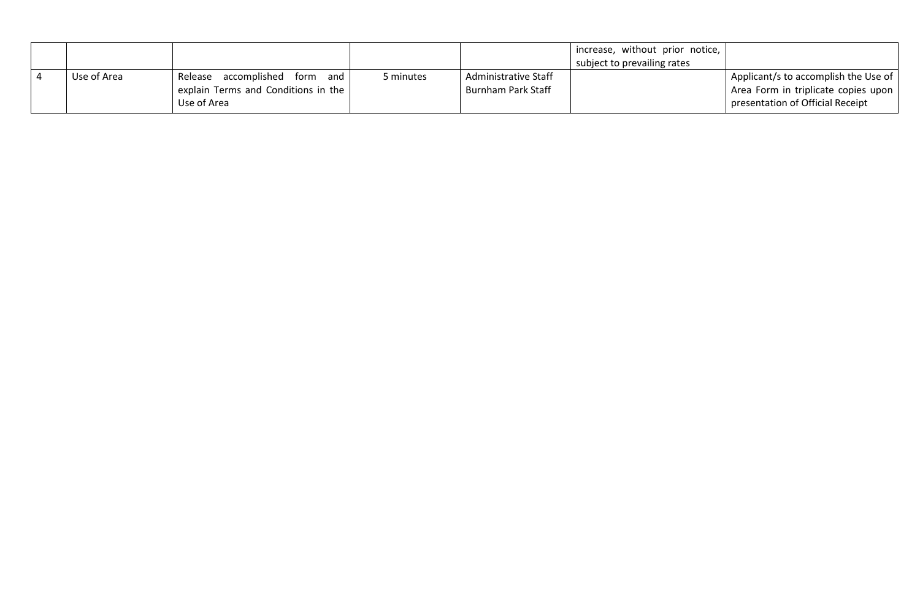|             |                                        |           | increase, without prior notice, |                                      |
|-------------|----------------------------------------|-----------|---------------------------------|--------------------------------------|
|             |                                        |           | subject to prevailing rates     |                                      |
| Use of Area | accomplished<br>Release<br>and<br>form | 5 minutes | Administrative Staff            | Applicant/s to accomplish the Use of |
|             | explain Terms and Conditions in the    |           | <b>Burnham Park Staff</b>       | Area Form in triplicate copies upon  |
|             | Use of Area                            |           |                                 | presentation of Official Receipt     |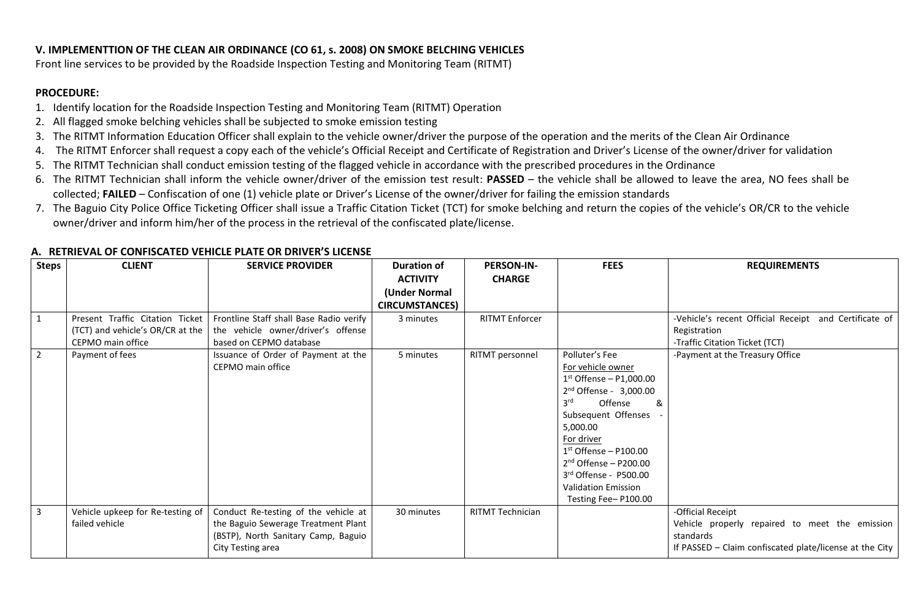## **V. IMPLEMENTTION OF THE CLEAN AIR ORDINANCE (CO 61, s. 2008) ON SMOKE BELCHING VEHICLES**

Front line services to be provided by the Roadside Inspection Testing and Monitoring Team (RITMT)

#### **PROCEDURE:**

- 1. Identify location for the Roadside Inspection Testing and Monitoring Team (RITMT) Operation
- 2. All flagged smoke belching vehicles shall be subjected to smoke emission testing
- 3. The RITMT Information Education Officer shall explain to the vehicle owner/driver the purpose of the operation and the merits of the Clean Air Ordinance
- 4. The RITMT Enforcer shall request a copy each of the vehicle's Official Receipt and Certificate of Registration and Driver's License of the owner/driver for validation
- 5. The RITMT Technician shall conduct emission testing of the flagged vehicle in accordance with the prescribed procedures in the Ordinance
- 6. The RITMT Technician shall inform the vehicle owner/driver of the emission test result: **PASSED** the vehicle shall be allowed to leave the area, NO fees shall be collected; **FAILED** – Confiscation of one (1) vehicle plate or Driver's License of the owner/driver for failing the emission standards
- 7. The Baguio City Police Office Ticketing Officer shall issue a Traffic Citation Ticket (TCT) for smoke belching and return the copies of the vehicle's OR/CR to the vehicle owner/driver and inform him/her of the process in the retrieval of the confiscated plate/license.

| <b>Steps</b>   | <b>CLIENT</b>                    | <b>SERVICE PROVIDER</b>                 | <b>Duration of</b>    | <b>PERSON-IN-</b>     | <b>FEES</b>                     | <b>REQUIREMENTS</b>                                     |
|----------------|----------------------------------|-----------------------------------------|-----------------------|-----------------------|---------------------------------|---------------------------------------------------------|
|                |                                  |                                         | <b>ACTIVITY</b>       | <b>CHARGE</b>         |                                 |                                                         |
|                |                                  |                                         | (Under Normal         |                       |                                 |                                                         |
|                |                                  |                                         | <b>CIRCUMSTANCES)</b> |                       |                                 |                                                         |
| $\mathbf{1}$   | Present Traffic Citation Ticket  | Frontline Staff shall Base Radio verify | 3 minutes             | <b>RITMT Enforcer</b> |                                 | -Vehicle's recent Official Receipt and Certificate of   |
|                | (TCT) and vehicle's OR/CR at the | the vehicle owner/driver's offense      |                       |                       |                                 | Registration                                            |
|                | CEPMO main office                | based on CEPMO database                 |                       |                       |                                 | -Traffic Citation Ticket (TCT)                          |
| $\overline{2}$ | Payment of fees                  | Issuance of Order of Payment at the     | 5 minutes             | RITMT personnel       | Polluter's Fee                  | -Payment at the Treasury Office                         |
|                |                                  | CEPMO main office                       |                       |                       | For vehicle owner               |                                                         |
|                |                                  |                                         |                       |                       | $1st$ Offense – P1,000.00       |                                                         |
|                |                                  |                                         |                       |                       | $2nd$ Offense - 3,000.00        |                                                         |
|                |                                  |                                         |                       |                       | Offense<br>3 <sup>rd</sup><br>& |                                                         |
|                |                                  |                                         |                       |                       | Subsequent Offenses             |                                                         |
|                |                                  |                                         |                       |                       | 5,000.00                        |                                                         |
|                |                                  |                                         |                       |                       | For driver                      |                                                         |
|                |                                  |                                         |                       |                       | $1st$ Offense – P100.00         |                                                         |
|                |                                  |                                         |                       |                       | $2nd$ Offense – P200.00         |                                                         |
|                |                                  |                                         |                       |                       | 3rd Offense - P500.00           |                                                         |
|                |                                  |                                         |                       |                       | <b>Validation Emission</b>      |                                                         |
|                |                                  |                                         |                       |                       | Testing Fee-P100.00             |                                                         |
| $\overline{3}$ | Vehicle upkeep for Re-testing of | Conduct Re-testing of the vehicle at    | 30 minutes            | RITMT Technician      |                                 | -Official Receipt                                       |
|                | failed vehicle                   | the Baguio Sewerage Treatment Plant     |                       |                       |                                 | Vehicle properly repaired to meet the emission          |
|                |                                  | (BSTP), North Sanitary Camp, Baguio     |                       |                       |                                 | standards                                               |
|                |                                  | City Testing area                       |                       |                       |                                 | If PASSED - Claim confiscated plate/license at the City |

## **A. RETRIEVAL OF CONFISCATED VEHICLE PLATE OR DRIVER'S LICENSE**